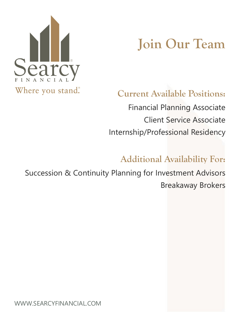

# **Join Our Team**

#### **Current Available Positions:**

Financial Planning Associate Client Service Associate Internship/Professional Residency

#### **Additional Availability For:**

Succession & Continuity Planning for Investment Advisors Breakaway Brokers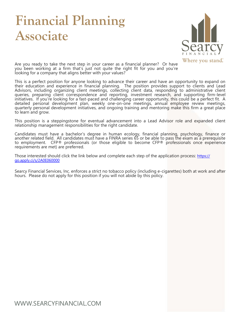### **Financial Planning Associate**



Where you stand.

Are you ready to take the next step in your career as a financial planner? Or have you been working at a firm that's just not quite the right fit for you and you're looking for a company that aligns better with your values?

This is a perfect position for anyone looking to advance their career and have an opportunity to expand on their education and experience in financial planning. The position provides support to clients and Lead Advisors, including organizing client meetings, collecting client data, responding to administrative client queries, preparing client correspondence and reporting, investment research, and supporting firm-level initiatives. If you're looking for a fast-paced and challenging career opportunity, this could be a perfect fit. A detailed personal development plan, weekly one-on-one meetings, annual employee review meetings, quarterly personal development initiatives, and ongoing training and mentoring make this firm a great place to learn and grow.

This position is a steppingstone for eventual advancement into a Lead Advisor role and expanded client relationship management responsibilities for the right candidate.

Candidates must have a bachelor's degree in human ecology, financial planning, psychology, finance or another related field. All candidates must have a FINRA series 65 or be able to pass the exam as a prerequisite to employment. CFP® professionals (or those eligible to become CFP® professionals once experience requirements are met) are preferred.

Those interested should click the link below and complete each step of the application process: [https://](https://go.apply.ci/s/2A0E060000) [go.apply.ci/s/2A0E060000](https://go.apply.ci/s/2A0E060000)

Searcy Financial Services, Inc. enforces a strict no tobacco policy (including e-cigarettes) both at work and after hours. Please do not apply for this position if you will not abide by this policy.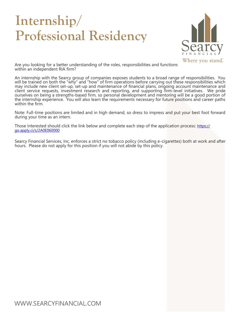## **Internship/ Professional Residency**



Are you looking for a better understanding of the roles, responsibilities and functions within an independent RIA firm?

An internship with the Searcy group of companies exposes students to a broad range of responsibilities. You will be trained on both the "why" and "how" of firm operations before carrying out these responsibilities which may include new client set-up, set-up and maintenance of financial plans, ongoing account maintenance and client service requests, investment research and reporting, and supporting firm-level initiatives. We pride ourselves on being a strengths-based firm, so personal development and mentoring will be a good portion of the internship experience. You will also learn the requirements necessary for future positions and career paths within the firm.

Note: Full-time positions are limited and in high demand, so dress to impress and put your best foot forward during your time as an intern.

Those interested should click the link below and complete each step of the application process: [https://](https://go.apply.ci/s/2A0E060000) [go.apply.ci/s/2A0E060000](https://go.apply.ci/s/2A0E060000)

Searcy Financial Services, Inc. enforces a strict no tobacco policy (including e-cigarettes) both at work and after hours. Please do not apply for this position if you will not abide by this policy.